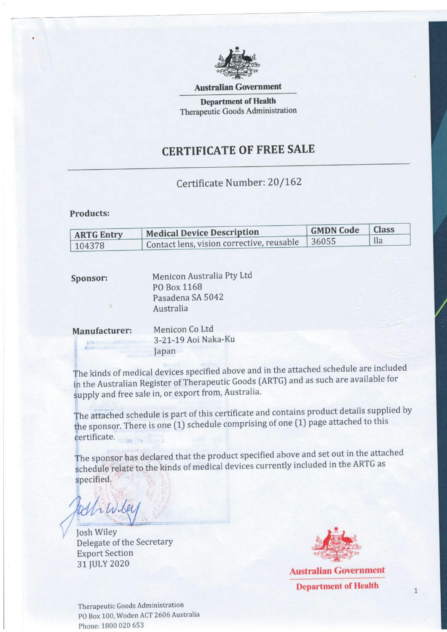

Australian Government

Department of Health Therapeutic Goods Administration

# CERTIFICATE OF FREE SALE

## Certificate Number: 20/162

### Products:

越

| <b>ARTG Entry</b> | <b>Medical Device Description</b>         | <b>GMDN</b> Code | <b>Class</b> |
|-------------------|-------------------------------------------|------------------|--------------|
| 104378            | Contact lens, vision corrective, reusable | 36055            | lla          |

| Sponsor:      | Menicon Australia Pty Ltd |
|---------------|---------------------------|
|               | PO Box 1168               |
|               | Pasadena SA 5042          |
|               | Australia                 |
| Manufacturer: | Menicon Co Ltd            |
|               | 3-21-19 Aoi Naka-Ku       |

lapan

The kinds of medical devices specified above and in the attached schedule are included in the Australian Register of Therapeutic Goods (ARTG) and as such are available for supply and free sale in, or export from, Australia.

The attached schedule is part of this certificate and contains product details supplied by the<br>cert attached sometimes is one (1) schedule comprising of one (1) page attached to this certificate.

The sponsor has declared that the product specified above and set out in the attached schedule relate to the kinds of medical devices currently included in the ARTG as specified.

Which

' Josh WileY Delegate of the SecretarY Export Section 31 JULY 2020



Australian Government Department of Health

Therapeutic Goods Administration PO Box 100, Woden ACT 2606 Australia Phone: 1800 020 553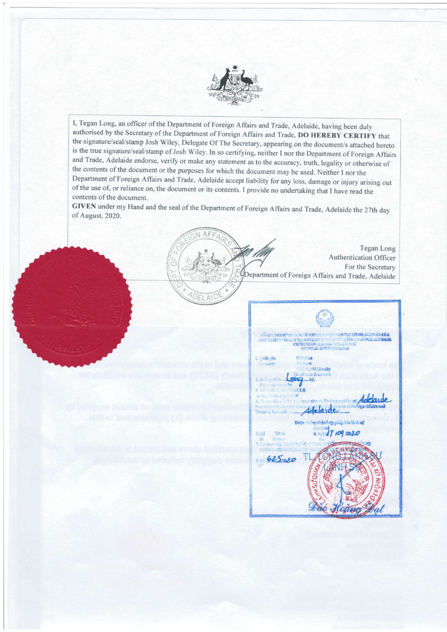

I, Tegan Long, an officer of the Department of Foreign Affairs and Trade, Adelaide, having been duly authorised by the Secretary of the Department of Foreign Affairs and Trade, DO HEREBY CERTIFY that the signature/seal/stamp Josh Wiley, Delegate Of The Secretary, appearing on the document/s attached hereto is the true signature/seal/stamp of Josh Wiley. In so certifying, neither I nor the Department of Foreign Affairs and Trade, Adelaide endorse, verify or make any statement as to the accuracy, truth, legality or otherwise of the contents of the document or the purposes for which the document may be used. Neither I nor the of the use of, or reliance on, the document or its contents. I provide no undertaking that I have read the Department of Foreign Affairs and Trade, Adelaide accept liability for any loss, damage or injury arising out contents of the document.

GIVEN under my Hand and the seal of the Department of Foreign Affairs and Trade, Adelaide the 27th day of August, 2020.

DFI A'



|                                                                                     | TONG LANH SU OUAN NUGC CHEHEN VIET NAM TALE IT MI, O-KTRÂY-LEA<br>CONNILATE CENERAL OF THE SOCIALIST EFFORLIC OF VIETNALI IN SYDNEY, ALSTRALIA<br>CHUNG NIIAN/HOP FEAT HOA LANH SU<br>CONSULAR AUTHENTICATION |  |  |  |
|-------------------------------------------------------------------------------------|---------------------------------------------------------------------------------------------------------------------------------------------------------------------------------------------------------------|--|--|--|
| 1. Ouôe gin:                                                                        | Việt Nam                                                                                                                                                                                                      |  |  |  |
| Country:                                                                            | Vietnam                                                                                                                                                                                                       |  |  |  |
|                                                                                     | Giás tờ, thì liêu này                                                                                                                                                                                         |  |  |  |
| itis Public decument                                                                |                                                                                                                                                                                                               |  |  |  |
| 2. do One (bit):<br>Has been signed by                                              | Keemky.                                                                                                                                                                                                       |  |  |  |
| 3. Vel chile dania: OFFICER                                                         |                                                                                                                                                                                                               |  |  |  |
| Acting in the capacity of                                                           |                                                                                                                                                                                                               |  |  |  |
|                                                                                     | 4. Và con dâu của VP 56 Ngoại giao và Thường mại Úc tại Adelaide                                                                                                                                              |  |  |  |
|                                                                                     |                                                                                                                                                                                                               |  |  |  |
| Bears the seath temp of Chance of Chance of Core in the Core of Boreton Affairs and |                                                                                                                                                                                                               |  |  |  |
|                                                                                     |                                                                                                                                                                                                               |  |  |  |
| Được chứng nhân/hợp pháp hóa lãnh sự                                                |                                                                                                                                                                                                               |  |  |  |
|                                                                                     | Certified                                                                                                                                                                                                     |  |  |  |
| Xit-m<br>5.1 <sub>1</sub><br>Sydney<br>At                                           | 6. Near 17 109 0020                                                                                                                                                                                           |  |  |  |
|                                                                                     | 7. Co quan cap: TLSQ NUOC CHXHC                                                                                                                                                                               |  |  |  |
| <b>CONSULATE GENERAL OF THE</b>                                                     |                                                                                                                                                                                                               |  |  |  |
|                                                                                     |                                                                                                                                                                                                               |  |  |  |
| 625mg                                                                               |                                                                                                                                                                                                               |  |  |  |
|                                                                                     |                                                                                                                                                                                                               |  |  |  |
|                                                                                     |                                                                                                                                                                                                               |  |  |  |
|                                                                                     |                                                                                                                                                                                                               |  |  |  |
|                                                                                     |                                                                                                                                                                                                               |  |  |  |
|                                                                                     |                                                                                                                                                                                                               |  |  |  |
|                                                                                     |                                                                                                                                                                                                               |  |  |  |
|                                                                                     |                                                                                                                                                                                                               |  |  |  |
|                                                                                     |                                                                                                                                                                                                               |  |  |  |
|                                                                                     |                                                                                                                                                                                                               |  |  |  |